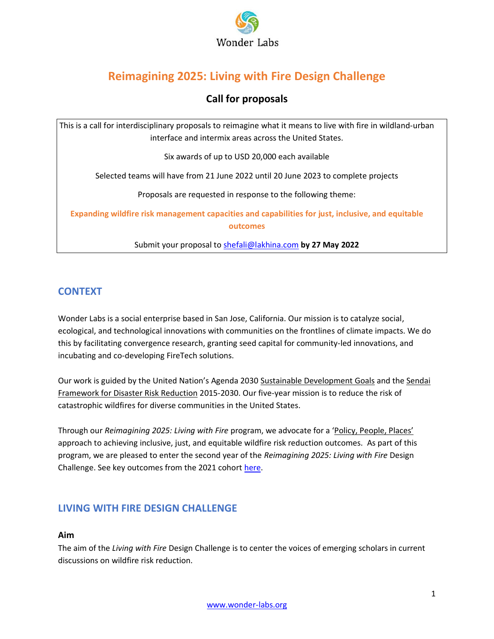

# **Reimagining 2025: Living with Fire Design Challenge**

# **Call for proposals**

This is a call for interdisciplinary proposals to reimagine what it means to live with fire in wildland-urban interface and intermix areas across the United States.

Six awards of up to USD 20,000 each available

Selected teams will have from 21 June 2022 until 20 June 2023 to complete projects

Proposals are requested in response to the following theme:

**Expanding wildfire risk management capacities and capabilities for just, inclusive, and equitable outcomes**

Submit your proposal to [shefali@lakhina.com](mailto:shefali@lakhina.com) **by 27 May 2022**

# **CONTEXT**

Wonder Labs is a social enterprise based in San Jose, California. Our mission is to catalyze social, ecological, and technological innovations with communities on the frontlines of climate impacts. We do this by facilitating convergence research, granting seed capital for community-led innovations, and incubating and co-developing FireTech solutions.

Our work is guided by the [United Nation's Agenda 2030](https://www.un.org/sustainabledevelopment/development-agenda/) [Sustainable Development Goals](https://sdgs.un.org/goals) and the Sendai [Framework for Disaster Risk Reduction](https://www.undrr.org/publication/sendai-framework-disaster-risk-reduction-2015-2030) 2015-2030. Our five-year mission is to reduce the risk of catastrophic wildfires for diverse communities in the United States.

Through our *Reimagining 2025: Living with Fire* program, we advocate for a ['Policy, People, Places'](https://www.wonder-labs.org/uploads/6/4/2/1/6421555/governing_wildfire_risk_reduction_in_california.pdf) approach to achieving inclusive, just, and equitable wildfire risk reduction outcomes. As part of this program, we are pleased to enter the second year of the *Reimagining 2025: Living with Fire* Design Challenge. See key outcomes from the 2021 cohort [here.](https://www.livingwithfiredesignchallenge.com/teams)

# **LIVING WITH FIRE DESIGN CHALLENGE**

# **Aim**

The aim of the *Living with Fire* Design Challenge is to center the voices of emerging scholars in current discussions on wildfire risk reduction.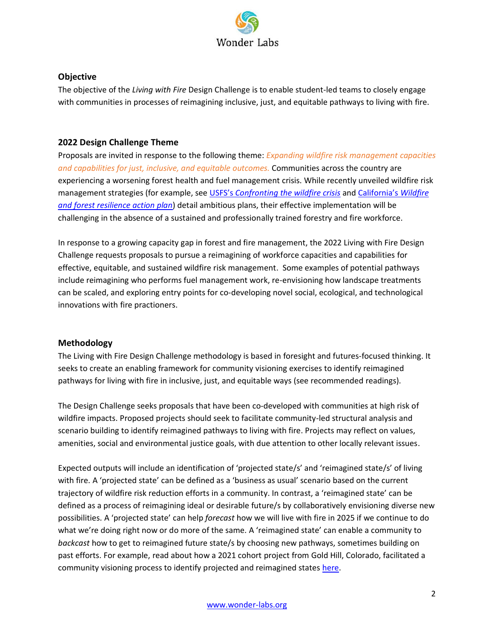

#### **Objective**

The objective of the *Living with Fire* Design Challenge is to enable student-led teams to closely engage with communities in processes of reimagining inclusive, just, and equitable pathways to living with fire.

# **2022 Design Challenge Theme**

Proposals are invited in response to the following theme: *Expanding wildfire risk management capacities and capabilities for just, inclusive, and equitable outcomes.* Communities across the country are experiencing a worsening forest health and fuel management crisis. While recently unveiled wildfire risk management strategies (for example, see USFS's *[Confronting the wildfire crisis](https://www.fs.usda.gov/sites/default/files/Confronting-Wildfire-Crisis.pdf)* and [California's](https://fmtf.fire.ca.gov/media/cjwfpckz/californiawildfireandforestresilienceactionplan.pdf) *Wildfire [and forest resilience action plan](https://fmtf.fire.ca.gov/media/cjwfpckz/californiawildfireandforestresilienceactionplan.pdf)*) detail ambitious plans, their effective implementation will be challenging in the absence of a sustained and professionally trained forestry and fire workforce.

In response to a growing capacity gap in forest and fire management, the 2022 Living with Fire Design Challenge requests proposals to pursue a reimagining of workforce capacities and capabilities for effective, equitable, and sustained wildfire risk management. Some examples of potential pathways include reimagining who performs fuel management work, re-envisioning how landscape treatments can be scaled, and exploring entry points for co-developing novel social, ecological, and technological innovations with fire practioners.

# **Methodology**

The Living with Fire Design Challenge methodology is based in foresight and futures-focused thinking. It seeks to create an enabling framework for community visioning exercises to identify reimagined pathways for living with fire in inclusive, just, and equitable ways (see recommended readings).

The Design Challenge seeks proposals that have been co-developed with communities at high risk of wildfire impacts. Proposed projects should seek to facilitate community-led structural analysis and scenario building to identify reimagined pathways to living with fire. Projects may reflect on values, amenities, social and environmental justice goals, with due attention to other locally relevant issues.

Expected outputs will include an identification of 'projected state/s' and 'reimagined state/s' of living with fire. A 'projected state' can be defined as a 'business as usual' scenario based on the current trajectory of wildfire risk reduction efforts in a community. In contrast, a 'reimagined state' can be defined as a process of reimagining ideal or desirable future/s by collaboratively envisioning diverse new possibilities. A 'projected state' can help *forecast* how we will live with fire in 2025 if we continue to do what we're doing right now or do more of the same. A 'reimagined state' can enable a community to *backcast* how to get to reimagined future state/s by choosing new pathways, sometimes building on past efforts. For example, read about how a 2021 cohort project from Gold Hill, Colorado, facilitated a community visioning process to identify projected and reimagined states [here.](https://storymaps.arcgis.com/stories/a75b7bd06f214422a4fa88683a50da51)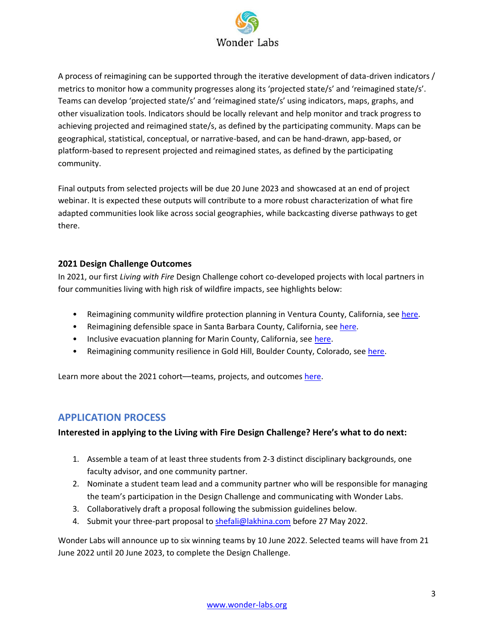

A process of reimagining can be supported through the iterative development of data-driven indicators / metrics to monitor how a community progresses along its 'projected state/s' and 'reimagined state/s'. Teams can develop 'projected state/s' and 'reimagined state/s' using indicators, maps, graphs, and other visualization tools. Indicators should be locally relevant and help monitor and track progress to achieving projected and reimagined state/s, as defined by the participating community. Maps can be geographical, statistical, conceptual, or narrative-based, and can be hand-drawn, app-based, or platform-based to represent projected and reimagined states, as defined by the participating community.

Final outputs from selected projects will be due 20 June 2023 and showcased at an end of project webinar. It is expected these outputs will contribute to a more robust characterization of what fire adapted communities look like across social geographies, while backcasting diverse pathways to get there.

#### **2021 Design Challenge Outcomes**

In 2021, our first *Living with Fire* Design Challenge cohort co-developed projects with local partners in four communities living with high risk of wildfire impacts, see highlights below:

- Reimagining community wildfire protection planning in Ventura County, California, see [here.](https://www.livingwithfiredesignchallenge.com/teams/project-one-cy9xp)
- Reimagining defensible space in Santa Barbara County, California, see [here.](https://www.livingwithfiredesignchallenge.com/teams/project-three-p9pcc)
- Inclusive evacuation planning for Marin County, California, se[e here.](https://www.livingwithfiredesignchallenge.com/teams/55kvj2bdg26ns8hham4v9y1rq4qn3b)
- Reimagining community resilience in Gold Hill, Boulder County, Colorado, see [here.](https://www.livingwithfiredesignchallenge.com/teams/project-two-smsn7)

Learn more about the 2021 cohort—teams, projects, and outcome[s here.](https://www.livingwithfiredesignchallenge.com/teams)

# **APPLICATION PROCESS**

#### **Interested in applying to the Living with Fire Design Challenge? Here's what to do next:**

- 1. Assemble a team of at least three students from 2-3 distinct disciplinary backgrounds, one faculty advisor, and one community partner.
- 2. Nominate a student team lead and a community partner who will be responsible for managing the team's participation in the Design Challenge and communicating with Wonder Labs.
- 3. Collaboratively draft a proposal following the submission guidelines below.
- 4. Submit your three-part proposal to [shefali@lakhina.com](mailto:shefali@lakhina.com) before 27 May 2022.

Wonder Labs will announce up to six winning teams by 10 June 2022. Selected teams will have from 21 June 2022 until 20 June 2023, to complete the Design Challenge.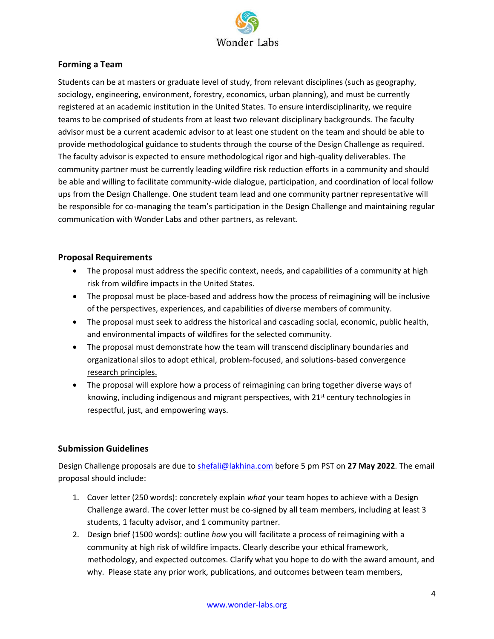

#### **Forming a Team**

Students can be at masters or graduate level of study, from relevant disciplines (such as geography, sociology, engineering, environment, forestry, economics, urban planning), and must be currently registered at an academic institution in the United States. To ensure interdisciplinarity, we require teams to be comprised of students from at least two relevant disciplinary backgrounds. The faculty advisor must be a current academic advisor to at least one student on the team and should be able to provide methodological guidance to students through the course of the Design Challenge as required. The faculty advisor is expected to ensure methodological rigor and high-quality deliverables. The community partner must be currently leading wildfire risk reduction efforts in a community and should be able and willing to facilitate community-wide dialogue, participation, and coordination of local follow ups from the Design Challenge. One student team lead and one community partner representative will be responsible for co-managing the team's participation in the Design Challenge and maintaining regular communication with Wonder Labs and other partners, as relevant.

#### **Proposal Requirements**

- The proposal must address the specific context, needs, and capabilities of a community at high risk from wildfire impacts in the United States.
- The proposal must be place-based and address how the process of reimagining will be inclusive of the perspectives, experiences, and capabilities of diverse members of community.
- The proposal must seek to address the historical and cascading social, economic, public health, and environmental impacts of wildfires for the selected community.
- The proposal must demonstrate how the team will transcend disciplinary boundaries and organizational silos to adopt ethical, problem-focused, and solutions-based [convergence](https://www.frontiersin.org/articles/10.3389/fbuil.2020.00110/full)  [research principles.](https://www.frontiersin.org/articles/10.3389/fbuil.2020.00110/full)
- The proposal will explore how a process of reimagining can bring together diverse ways of knowing, including indigenous and migrant perspectives, with  $21<sup>st</sup>$  century technologies in respectful, just, and empowering ways.

# **Submission Guidelines**

Design Challenge proposals are due to [shefali@lakhina.com](mailto:shefali@lakhina.com) before 5 pm PST on **27 May 2022**. The email proposal should include:

- 1. Cover letter (250 words): concretely explain *what* your team hopes to achieve with a Design Challenge award. The cover letter must be co-signed by all team members, including at least 3 students, 1 faculty advisor, and 1 community partner.
- 2. Design brief (1500 words): outline *how* you will facilitate a process of reimagining with a community at high risk of wildfire impacts. Clearly describe your ethical framework, methodology, and expected outcomes. Clarify what you hope to do with the award amount, and why. Please state any prior work, publications, and outcomes between team members,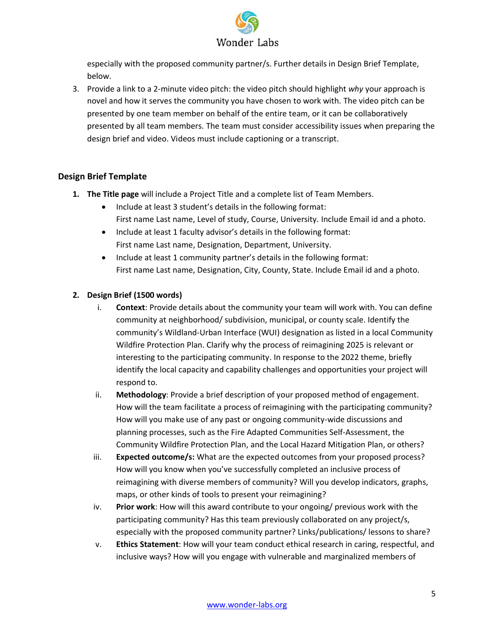

especially with the proposed community partner/s. Further details in Design Brief Template, below.

3. Provide a link to a 2-minute video pitch: the video pitch should highlight *why* your approach is novel and how it serves the community you have chosen to work with. The video pitch can be presented by one team member on behalf of the entire team, or it can be collaboratively presented by all team members. The team must consider accessibility issues when preparing the design brief and video. Videos must include captioning or a transcript.

# **Design Brief Template**

- **1. The Title page** will include a Project Title and a complete list of Team Members.
	- Include at least 3 student's details in the following format: First name Last name, Level of study, Course, University. Include Email id and a photo.
	- Include at least 1 faculty advisor's details in the following format: First name Last name, Designation, Department, University.
	- Include at least 1 community partner's details in the following format: First name Last name, Designation, City, County, State. Include Email id and a photo.

# **2. Design Brief (1500 words)**

- i. **Context**: Provide details about the community your team will work with. You can define community at neighborhood/ subdivision, municipal, or county scale. Identify the community's Wildland-Urban Interface (WUI) designation as listed in a local Community Wildfire Protection Plan. Clarify why the process of reimagining 2025 is relevant or interesting to the participating community. In response to the 2022 theme, briefly identify the local capacity and capability challenges and opportunities your project will respond to.
- ii. **Methodology**: Provide a brief description of your proposed method of engagement. How will the team facilitate a process of reimagining with the participating community? How will you make use of any past or ongoing community-wide discussions and planning processes, such as the Fire Adapted Communities Self-Assessment, the Community Wildfire Protection Plan, and the Local Hazard Mitigation Plan, or others?
- iii. **Expected outcome/s:** What are the expected outcomes from your proposed process? How will you know when you've successfully completed an inclusive process of reimagining with diverse members of community? Will you develop indicators, graphs, maps, or other kinds of tools to present your reimagining?
- iv. **Prior work**: How will this award contribute to your ongoing/ previous work with the participating community? Has this team previously collaborated on any project/s, especially with the proposed community partner? Links/publications/ lessons to share?
- v. **Ethics Statement**: How will your team conduct ethical research in caring, respectful, and inclusive ways? How will you engage with vulnerable and marginalized members of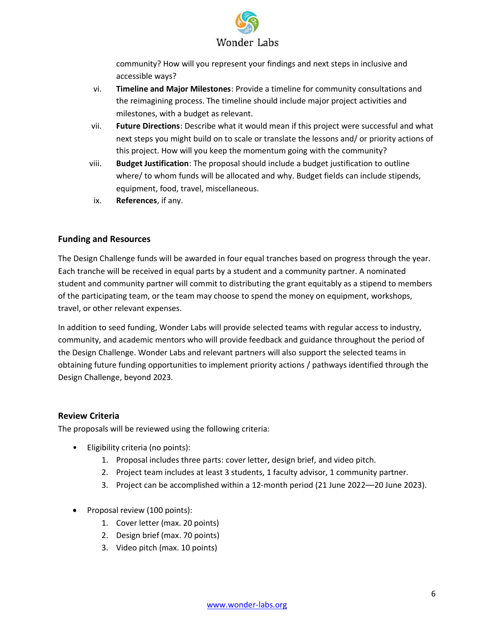

community? How will you represent your findings and next steps in inclusive and accessible ways?

- vi. **Timeline and Major Milestones**: Provide a timeline for community consultations and the reimagining process. The timeline should include major project activities and milestones, with a budget as relevant.
- vii. **Future Directions**: Describe what it would mean if this project were successful and what next steps you might build on to scale or translate the lessons and/ or priority actions of this project. How will you keep the momentum going with the community?
- viii. **Budget Justification**: The proposal should include a budget justification to outline where/ to whom funds will be allocated and why. Budget fields can include stipends, equipment, food, travel, miscellaneous.
- ix. **References**, if any.

# **Funding and Resources**

The Design Challenge funds will be awarded in four equal tranches based on progress through the year. Each tranche will be received in equal parts by a student and a community partner. A nominated student and community partner will commit to distributing the grant equitably as a stipend to members of the participating team, or the team may choose to spend the money on equipment, workshops, travel, or other relevant expenses.

In addition to seed funding, Wonder Labs will provide selected teams with regular access to industry, community, and academic mentors who will provide feedback and guidance throughout the period of the Design Challenge. Wonder Labs and relevant partners will also support the selected teams in obtaining future funding opportunities to implement priority actions / pathways identified through the Design Challenge, beyond 2023.

# **Review Criteria**

The proposals will be reviewed using the following criteria:

- Eligibility criteria (no points):
	- 1. Proposal includes three parts: cover letter, design brief, and video pitch.
	- 2. Project team includes at least 3 students, 1 faculty advisor, 1 community partner.
	- 3. Project can be accomplished within a 12-month period (21 June 2022––20 June 2023).
- Proposal review (100 points):
	- 1. Cover letter (max. 20 points)
	- 2. Design brief (max. 70 points)
	- 3. Video pitch (max. 10 points)